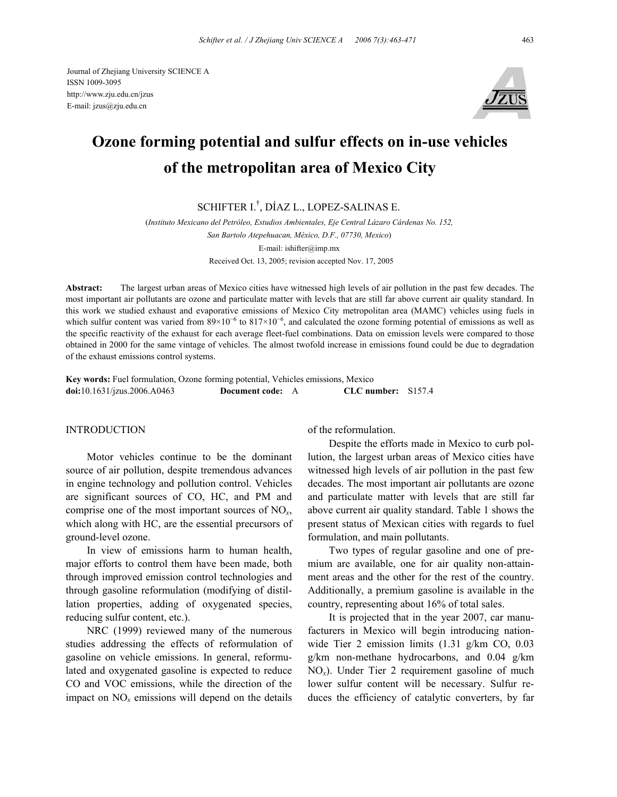Journal of Zhejiang University SCIENCE A ISSN 1009-3095 http://www.zju.edu.cn/jzus E-mail: jzus@zju.edu.cn



# **Ozone forming potential and sulfur effects on in-use vehicles of the metropolitan area of Mexico City**

SCHIFTER I.† , DÍAZ L., LOPEZ-SALINAS E.

(*Instituto Mexicano del Petróleo, Estudios Ambientales, Eje Central Lázaro Cárdenas No. 152, San Bartolo Atepehuacan, México, D.F., 07730, Mexico*) E-mail: ishifter@imp.mx Received Oct. 13, 2005; revision accepted Nov. 17, 2005

**Abstract:** The largest urban areas of Mexico cities have witnessed high levels of air pollution in the past few decades. The most important air pollutants are ozone and particulate matter with levels that are still far above current air quality standard. In this work we studied exhaust and evaporative emissions of Mexico City metropolitan area (MAMC) vehicles using fuels in which sulfur content was varied from  $89 \times 10^{-6}$  to  $817 \times 10^{-6}$ , and calculated the ozone forming potential of emissions as well as the specific reactivity of the exhaust for each average fleet-fuel combinations. Data on emission levels were compared to those obtained in 2000 for the same vintage of vehicles. The almost twofold increase in emissions found could be due to degradation of the exhaust emissions control systems.

**Key words:** Fuel formulation, Ozone forming potential, Vehicles emissions, Mexico **doi:**10.1631/jzus.2006.A0463 **Document code:** A **CLC number:** S157.4

# INTRODUCTION

Motor vehicles continue to be the dominant source of air pollution, despite tremendous advances in engine technology and pollution control. Vehicles are significant sources of CO, HC, and PM and comprise one of the most important sources of NO*x*, which along with HC, are the essential precursors of ground-level ozone.

In view of emissions harm to human health, major efforts to control them have been made, both through improved emission control technologies and through gasoline reformulation (modifying of distillation properties, adding of oxygenated species, reducing sulfur content, etc.).

NRC (1999) reviewed many of the numerous studies addressing the effects of reformulation of gasoline on vehicle emissions. In general, reformulated and oxygenated gasoline is expected to reduce CO and VOC emissions, while the direction of the impact on  $NO<sub>x</sub>$  emissions will depend on the details

of the reformulation.

Despite the efforts made in Mexico to curb pollution, the largest urban areas of Mexico cities have witnessed high levels of air pollution in the past few decades. The most important air pollutants are ozone and particulate matter with levels that are still far above current air quality standard. Table 1 shows the present status of Mexican cities with regards to fuel formulation, and main pollutants.

Two types of regular gasoline and one of premium are available, one for air quality non-attainment areas and the other for the rest of the country. Additionally, a premium gasoline is available in the country, representing about 16% of total sales.

It is projected that in the year 2007, car manufacturers in Mexico will begin introducing nationwide Tier 2 emission limits (1.31 g/km CO, 0.03 g/km non-methane hydrocarbons, and 0.04 g/km NO*x*). Under Tier 2 requirement gasoline of much lower sulfur content will be necessary. Sulfur reduces the efficiency of catalytic converters, by far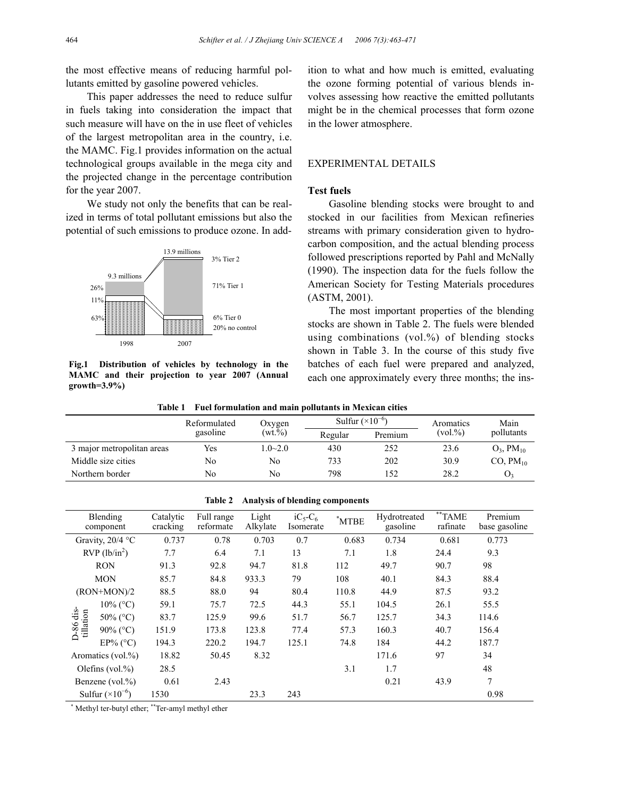the most effective means of reducing harmful pollutants emitted by gasoline powered vehicles.

This paper addresses the need to reduce sulfur in fuels taking into consideration the impact that such measure will have on the in use fleet of vehicles of the largest metropolitan area in the country, i.e. the MAMC. Fig.1 provides information on the actual technological groups available in the mega city and the projected change in the percentage contribution for the year 2007.

We study not only the benefits that can be realized in terms of total pollutant emissions but also the potential of such emissions to produce ozone. In add-



**Fig.1 Distribution of vehicles by technology in the MAMC and their projection to year 2007 (Annual growth=3.9%)** 

ition to what and how much is emitted, evaluating the ozone forming potential of various blends involves assessing how reactive the emitted pollutants might be in the chemical processes that form ozone in the lower atmosphere.

# EXPERIMENTAL DETAILS

### **Test fuels**

Gasoline blending stocks were brought to and stocked in our facilities from Mexican refineries streams with primary consideration given to hydrocarbon composition, and the actual blending process followed prescriptions reported by Pahl and McNally (1990). The inspection data for the fuels follow the American Society for Testing Materials procedures (ASTM, 2001).

The most important properties of the blending stocks are shown in Table 2. The fuels were blended using combinations (vol.%) of blending stocks shown in Table 3. In the course of this study five batches of each fuel were prepared and analyzed, each one approximately every three months; the ins-

| Table 1 Fuel formulation and main ponditants in Mexican Cities |              |             |                           |                    |           |                          |  |  |
|----------------------------------------------------------------|--------------|-------------|---------------------------|--------------------|-----------|--------------------------|--|--|
|                                                                | Reformulated | Oxygen      | Sulfur $(\times 10^{-6})$ |                    | Aromatics | Main<br>pollutants       |  |  |
|                                                                | gasoline     | $(wt. \% )$ | Regular                   | (vol. %<br>Premium |           |                          |  |  |
| 3 major metropolitan areas                                     | Yes          | $1.0 - 2.0$ | 430                       | 252                | 23.6      | $O_3$ , PM <sub>10</sub> |  |  |
| Middle size cities                                             | No           | No          | 733                       | 202                | 30.9      | $CO, PM_{10}$            |  |  |
| Northern border                                                | No           | No          | 798                       | 152                | 28.2      | O <sub>3</sub>           |  |  |

**Table 1 Fuel formulation and main pollutants in Mexican cities** 

| Table 2 |  |  | <b>Analysis of blending components</b> |
|---------|--|--|----------------------------------------|
|---------|--|--|----------------------------------------|

|                        | Blending<br>component        | Catalytic<br>cracking | Full range<br>reformate | Light<br>Alkylate | $iC_5-C_6$<br>Isomerate | $^*$ MTBE | Hydrotreated<br>gasoline | $\boldsymbol{^\ast} \text{TAME}$<br>rafinate | Premium<br>base gasoline |
|------------------------|------------------------------|-----------------------|-------------------------|-------------------|-------------------------|-----------|--------------------------|----------------------------------------------|--------------------------|
|                        | Gravity, 20/4 °C             | 0.737                 | 0.78                    | 0.703             | 0.7                     | 0.683     | 0.734                    | 0.681                                        | 0.773                    |
|                        | $RVP$ (lb/in <sup>2</sup> )  | 7.7                   | 6.4                     | 7.1               | 13                      | 7.1       | 1.8                      | 24.4                                         | 9.3                      |
|                        | <b>RON</b>                   | 91.3                  | 92.8                    | 94.7              | 81.8                    | 112       | 49.7                     | 90.7                                         | 98                       |
|                        | <b>MON</b>                   | 85.7                  | 84.8                    | 933.3             | 79                      | 108       | 40.1                     | 84.3                                         | 88.4                     |
|                        | $(RON+MON)/2$                | 88.5                  | 88.0                    | 94                | 80.4                    | 110.8     | 44.9                     | 87.5                                         | 93.2                     |
|                        | $10\%$ (°C)                  | 59.1                  | 75.7                    | 72.5              | 44.3                    | 55.1      | 104.5                    | 26.1                                         | 55.5                     |
|                        | 50% ( $^{\circ}$ C)          | 83.7                  | 125.9                   | 99.6              | 51.7                    | 56.7      | 125.7                    | 34.3                                         | 114.6                    |
| D-86 dis-<br>tillation | $90\%$ (°C)                  | 151.9                 | 173.8                   | 123.8             | 77.4                    | 57.3      | 160.3                    | 40.7                                         | 156.4                    |
|                        | $EP%$ (°C)                   | 194.3                 | 220.2                   | 194.7             | 125.1                   | 74.8      | 184                      | 44.2                                         | 187.7                    |
|                        | Aromatics (vol. $\%$ )       | 18.82                 | 50.45                   | 8.32              |                         |           | 171.6                    | 97                                           | 34                       |
|                        | Olefins $(v_0, \frac{9}{2})$ | 28.5                  |                         |                   |                         | 3.1       | 1.7                      |                                              | 48                       |
|                        | Benzene $(vol. %$            | 0.61                  | 2.43                    |                   |                         |           | 0.21                     | 43.9                                         | 7                        |
|                        | Sulfur $(\times 10^{-6})$    | 1530                  |                         | 23.3              | 243                     |           |                          |                                              | 0.98                     |

\* Methyl ter-butyl ether; \*\*Ter-amyl methyl ether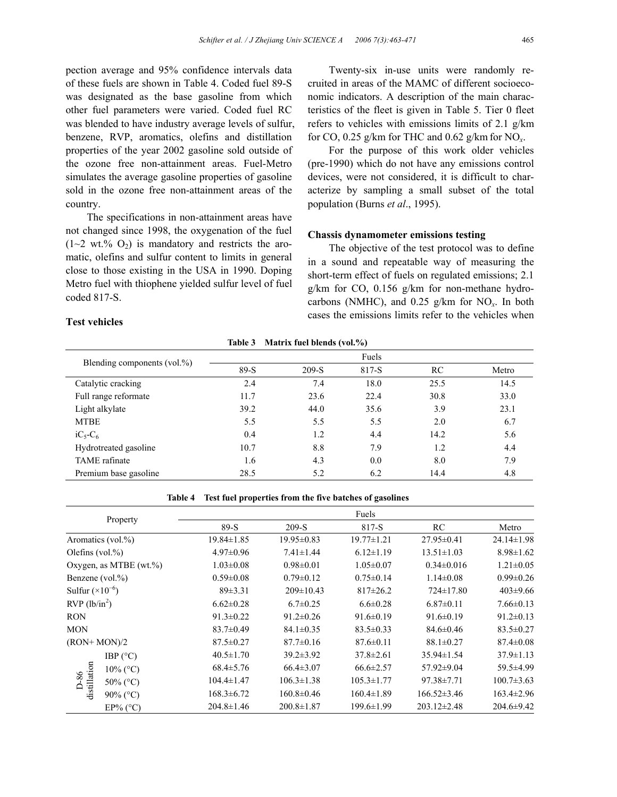pection average and 95% confidence intervals data of these fuels are shown in Table 4. Coded fuel 89-S was designated as the base gasoline from which other fuel parameters were varied. Coded fuel RC was blended to have industry average levels of sulfur, benzene, RVP, aromatics, olefins and distillation properties of the year 2002 gasoline sold outside of the ozone free non-attainment areas. Fuel-Metro simulates the average gasoline properties of gasoline sold in the ozone free non-attainment areas of the country.

The specifications in non-attainment areas have not changed since 1998, the oxygenation of the fuel  $(1~2~\text{wt.}\%~\text{O}_2)$  is mandatory and restricts the aromatic, olefins and sulfur content to limits in general close to those existing in the USA in 1990. Doping Metro fuel with thiophene yielded sulfur level of fuel coded 817-S.

Twenty-six in-use units were randomly recruited in areas of the MAMC of different socioeconomic indicators. A description of the main characteristics of the fleet is given in Table 5. Tier 0 fleet refers to vehicles with emissions limits of 2.1 g/km for CO, 0.25 g/km for THC and 0.62 g/km for NO*x*.

For the purpose of this work older vehicles (pre-1990) which do not have any emissions control devices, were not considered, it is difficult to characterize by sampling a small subset of the total population (Burns *et al*., 1995).

## **Chassis dynamometer emissions testing**

The objective of the test protocol was to define in a sound and repeatable way of measuring the short-term effect of fuels on regulated emissions; 2.1 g/km for CO, 0.156 g/km for non-methane hydrocarbons (NMHC), and  $0.25$  g/km for NO<sub>x</sub>. In both cases the emissions limits refer to the vehicles when

# **Test vehicles**

|                             | гаріе э | <b>NIAUTIX TUEL DIERUS (VOL.70)</b> |       |      |       |
|-----------------------------|---------|-------------------------------------|-------|------|-------|
|                             |         |                                     | Fuels |      |       |
| Blending components (vol.%) | $89-S$  | $209-S$                             | 817-S | RC   | Metro |
| Catalytic cracking          | 2.4     | 7.4                                 | 18.0  | 25.5 | 14.5  |
| Full range reformate        | 11.7    | 23.6                                | 22.4  | 30.8 | 33.0  |
| Light alkylate              | 39.2    | 44.0                                | 35.6  | 3.9  | 23.1  |
| <b>MTBE</b>                 | 5.5     | 5.5                                 | 5.5   | 2.0  | 6.7   |
| $iC_5-C_6$                  | 0.4     | 1.2                                 | 4.4   | 14.2 | 5.6   |
| Hydrotreated gasoline       | 10.7    | 8.8                                 | 7.9   | 1.2  | 4.4   |
| TAME rafinate               | 1.6     | 4.3                                 | 0.0   | 8.0  | 7.9   |
| Premium base gasoline       | 28.5    | 5.2                                 | 6.2   | 14.4 | 4.8   |

 $T = 3.67$ 

#### **Table 4 Test fuel properties from the five batches of gasolines**

|                             |                        |                  |                  | Fuels            |                   |                  |
|-----------------------------|------------------------|------------------|------------------|------------------|-------------------|------------------|
|                             | Property               | $89-S$           | $209-S$          | 817-S            | RC                | Metro            |
|                             | Aromatics (vol.%)      | $19.84 \pm 1.85$ | $19.95 \pm 0.83$ | $19.77 \pm 1.21$ | $27.95 \pm 0.41$  | $24.14 \pm 1.98$ |
| Olefins $(vol.%)$           |                        | $4.97 \pm 0.96$  | $7.41 \pm 1.44$  | $6.12 \pm 1.19$  | $13.51 \pm 1.03$  | $8.98 \pm 1.62$  |
|                             | Oxygen, as MTBE (wt.%) | $1.03 \pm 0.08$  | $0.98 \pm 0.01$  | $1.05 \pm 0.07$  | $0.34 \pm 0.016$  | $1.21 \pm 0.05$  |
|                             | Benzene $(vol. %$      | $0.59 \pm 0.08$  | $0.79 \pm 0.12$  | $0.75 \pm 0.14$  | $1.14 \pm 0.08$   | $0.99 \pm 0.26$  |
| Sulfur $(\times 10^{-6})$   |                        | $89 \pm 3.31$    | $209 \pm 10.43$  | $817 \pm 26.2$   | $724 \pm 17.80$   | $403\pm9.66$     |
| $RVP$ (lb/in <sup>2</sup> ) |                        | $6.62 \pm 0.28$  | $6.7 \pm 0.25$   | $6.6 \pm 0.28$   | $6.87 \pm 0.11$   | $7.66 \pm 0.13$  |
| <b>RON</b>                  |                        | $91.3 \pm 0.22$  | $91.2 \pm 0.26$  | $91.6 \pm 0.19$  | $91.6 \pm 0.19$   | $91.2 \pm 0.13$  |
| <b>MON</b>                  |                        | $83.7 \pm 0.49$  | $84.1 \pm 0.35$  | $83.5 \pm 0.33$  | $84.6 \pm 0.46$   | $83.5 \pm 0.27$  |
|                             | $(RON+MON)/2$          | $87.5 \pm 0.27$  | $87.7 \pm 0.16$  | $87.6 \pm 0.11$  | $88.1 \pm 0.27$   | $87.4 \pm 0.08$  |
|                             | IBP $(^{\circ}C)$      | $40.5 \pm 1.70$  | $39.2 \pm 3.92$  | $37.8 \pm 2.61$  | $35.94 \pm 1.54$  | $37.9 \pm 1.13$  |
|                             | $10\%$ (°C)            | $68.4 \pm 5.76$  | $66.4 \pm 3.07$  | $66.6 \pm 2.57$  | $57.92 \pm 9.04$  | 59.5±4.99        |
| distillation<br>$D-86$      | 50% (°C)               | $104.4 \pm 1.47$ | $106.3 \pm 1.38$ | $105.3 \pm 1.77$ | $97.38 \pm 7.71$  | $100.7 \pm 3.63$ |
|                             | 90% (°C)               | $168.3 \pm 6.72$ | $160.8 \pm 0.46$ | $160.4 \pm 1.89$ | $166.52 \pm 3.46$ | $163.4 \pm 2.96$ |
|                             | $EP%$ (°C)             | $204.8 \pm 1.46$ | $200.8 \pm 1.87$ | 199.6±1.99       | $203.12 \pm 2.48$ | 204.6±9.42       |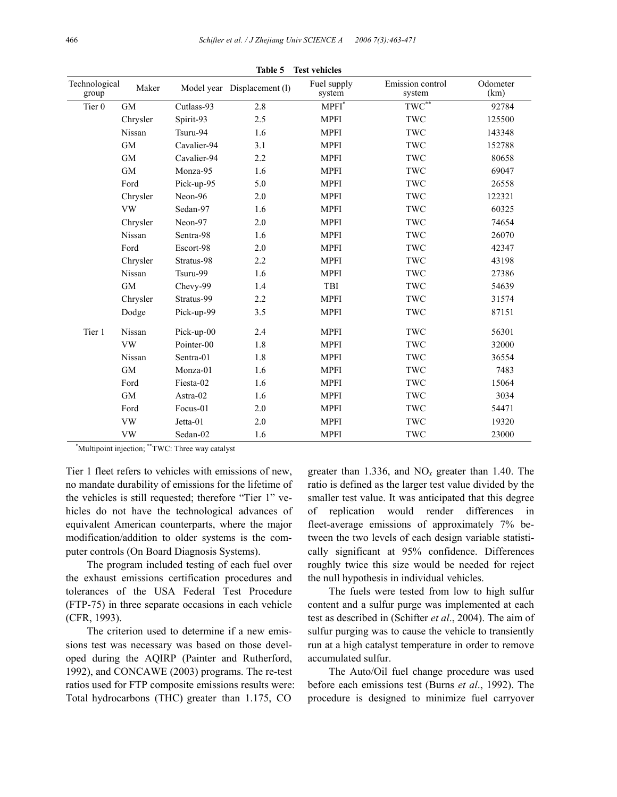| Technological<br>group | Maker     |             | Model year Displacement (1) | Fuel supply<br>system | Emission control<br>system          | Odometer<br>(km) |
|------------------------|-----------|-------------|-----------------------------|-----------------------|-------------------------------------|------------------|
| Tier <sub>0</sub>      | <b>GM</b> | Cutlass-93  | 2.8                         | $\text{MPFI}^*$       | $\text{TWC}^{\overline{\text{**}}}$ | 92784            |
|                        | Chrysler  | Spirit-93   | 2.5                         | <b>MPFI</b>           | TWC                                 | 125500           |
|                        | Nissan    | Tsuru-94    | 1.6                         | <b>MPFI</b>           | TWC                                 | 143348           |
|                        | <b>GM</b> | Cavalier-94 | 3.1                         | <b>MPFI</b>           | TWC                                 | 152788           |
|                        | <b>GM</b> | Cavalier-94 | 2.2                         | <b>MPFI</b>           | TWC                                 | 80658            |
|                        | <b>GM</b> | Monza-95    | 1.6                         | <b>MPFI</b>           | TWC                                 | 69047            |
|                        | Ford      | Pick-up-95  | 5.0                         | <b>MPFI</b>           | <b>TWC</b>                          | 26558            |
|                        | Chrysler  | Neon-96     | 2.0                         | <b>MPFI</b>           | TWC                                 | 122321           |
|                        | <b>VW</b> | Sedan-97    | 1.6                         | <b>MPFI</b>           | TWC                                 | 60325            |
|                        | Chrysler  | Neon-97     | 2.0                         | <b>MPFI</b>           | TWC                                 | 74654            |
|                        | Nissan    | Sentra-98   | 1.6                         | <b>MPFI</b>           | <b>TWC</b>                          | 26070            |
|                        | Ford      | Escort-98   | 2.0                         | <b>MPFI</b>           | TWC                                 | 42347            |
|                        | Chrysler  | Stratus-98  | 2.2                         | <b>MPFI</b>           | TWC                                 | 43198            |
|                        | Nissan    | Tsuru-99    | 1.6                         | <b>MPFI</b>           | TWC                                 | 27386            |
|                        | <b>GM</b> | Chevy-99    | 1.4                         | TBI                   | TWC                                 | 54639            |
|                        | Chrysler  | Stratus-99  | 2.2                         | <b>MPFI</b>           | TWC                                 | 31574            |
|                        | Dodge     | Pick-up-99  | 3.5                         | <b>MPFI</b>           | TWC                                 | 87151            |
| Tier 1                 | Nissan    | Pick-up-00  | 2.4                         | <b>MPFI</b>           | TWC                                 | 56301            |
|                        | <b>VW</b> | Pointer-00  | 1.8                         | <b>MPFI</b>           | TWC                                 | 32000            |
|                        | Nissan    | Sentra-01   | 1.8                         | <b>MPFI</b>           | TWC                                 | 36554            |
|                        | <b>GM</b> | Monza-01    | 1.6                         | <b>MPFI</b>           | TWC                                 | 7483             |
|                        | Ford      | Fiesta-02   | 1.6                         | <b>MPFI</b>           | <b>TWC</b>                          | 15064            |
|                        | <b>GM</b> | Astra-02    | 1.6                         | <b>MPFI</b>           | TWC                                 | 3034             |
|                        | Ford      | Focus-01    | 2.0                         | <b>MPFI</b>           | TWC                                 | 54471            |
|                        | <b>VW</b> | Jetta-01    | 2.0                         | <b>MPFI</b>           | TWC                                 | 19320            |
|                        | <b>VW</b> | Sedan-02    | 1.6                         | <b>MPFI</b>           | TWC                                 | 23000            |

**Table 5 Test vehicles** 

\* Multipoint injection; \*\*TWC: Three way catalyst

Tier 1 fleet refers to vehicles with emissions of new, no mandate durability of emissions for the lifetime of the vehicles is still requested; therefore "Tier 1" vehicles do not have the technological advances of equivalent American counterparts, where the major modification/addition to older systems is the computer controls (On Board Diagnosis Systems).

The program included testing of each fuel over the exhaust emissions certification procedures and tolerances of the USA Federal Test Procedure (FTP-75) in three separate occasions in each vehicle (CFR, 1993).

The criterion used to determine if a new emissions test was necessary was based on those developed during the AQIRP (Painter and Rutherford, 1992), and CONCAWE (2003) programs. The re-test ratios used for FTP composite emissions results were: Total hydrocarbons (THC) greater than 1.175, CO

greater than 1.336, and NO*x* greater than 1.40. The ratio is defined as the larger test value divided by the smaller test value. It was anticipated that this degree of replication would render differences in fleet-average emissions of approximately 7% between the two levels of each design variable statistically significant at 95% confidence. Differences roughly twice this size would be needed for reject the null hypothesis in individual vehicles.

The fuels were tested from low to high sulfur content and a sulfur purge was implemented at each test as described in (Schifter *et al*., 2004). The aim of sulfur purging was to cause the vehicle to transiently run at a high catalyst temperature in order to remove accumulated sulfur.

The Auto/Oil fuel change procedure was used before each emissions test (Burns *et al*., 1992). The procedure is designed to minimize fuel carryover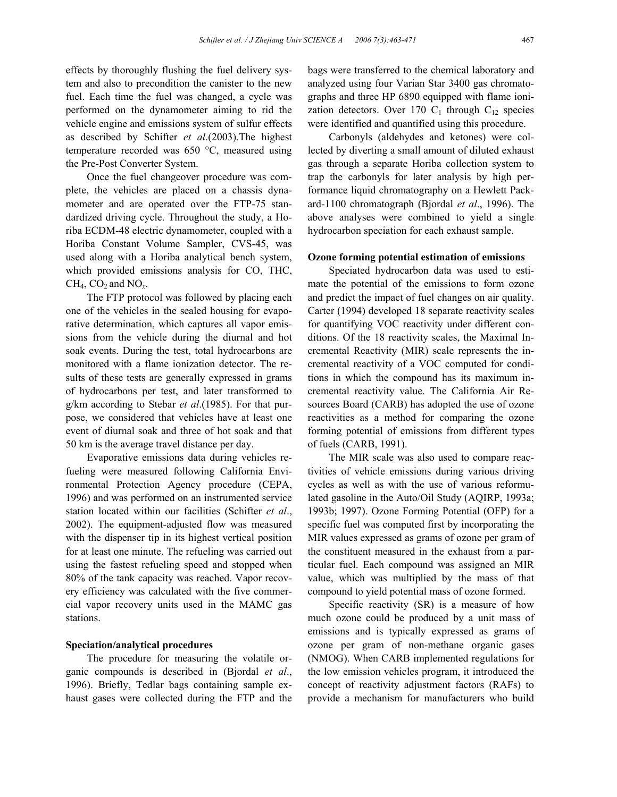effects by thoroughly flushing the fuel delivery system and also to precondition the canister to the new fuel. Each time the fuel was changed, a cycle was performed on the dynamometer aiming to rid the vehicle engine and emissions system of sulfur effects as described by Schifter *et al*.(2003).The highest temperature recorded was 650 °C, measured using the Pre-Post Converter System.

Once the fuel changeover procedure was complete, the vehicles are placed on a chassis dynamometer and are operated over the FTP-75 standardized driving cycle. Throughout the study, a Horiba ECDM-48 electric dynamometer, coupled with a Horiba Constant Volume Sampler, CVS-45, was used along with a Horiba analytical bench system, which provided emissions analysis for CO, THC, CH<sub>4</sub>,  $CO<sub>2</sub>$  and  $NO<sub>x</sub>$ .

The FTP protocol was followed by placing each one of the vehicles in the sealed housing for evaporative determination, which captures all vapor emissions from the vehicle during the diurnal and hot soak events. During the test, total hydrocarbons are monitored with a flame ionization detector. The results of these tests are generally expressed in grams of hydrocarbons per test, and later transformed to g/km according to Stebar *et al*.(1985). For that purpose, we considered that vehicles have at least one event of diurnal soak and three of hot soak and that 50 km is the average travel distance per day.

Evaporative emissions data during vehicles refueling were measured following California Environmental Protection Agency procedure (CEPA, 1996) and was performed on an instrumented service station located within our facilities (Schifter *et al*., 2002). The equipment-adjusted flow was measured with the dispenser tip in its highest vertical position for at least one minute. The refueling was carried out using the fastest refueling speed and stopped when 80% of the tank capacity was reached. Vapor recovery efficiency was calculated with the five commercial vapor recovery units used in the MAMC gas stations.

## **Speciation/analytical procedures**

The procedure for measuring the volatile organic compounds is described in (Bjordal *et al*., 1996). Briefly, Tedlar bags containing sample exhaust gases were collected during the FTP and the bags were transferred to the chemical laboratory and analyzed using four Varian Star 3400 gas chromatographs and three HP 6890 equipped with flame ionization detectors. Over 170  $C_1$  through  $C_{12}$  species were identified and quantified using this procedure.

Carbonyls (aldehydes and ketones) were collected by diverting a small amount of diluted exhaust gas through a separate Horiba collection system to trap the carbonyls for later analysis by high performance liquid chromatography on a Hewlett Packard-1100 chromatograph (Bjordal *et al*., 1996). The above analyses were combined to yield a single hydrocarbon speciation for each exhaust sample.

#### **Ozone forming potential estimation of emissions**

Speciated hydrocarbon data was used to estimate the potential of the emissions to form ozone and predict the impact of fuel changes on air quality. Carter (1994) developed 18 separate reactivity scales for quantifying VOC reactivity under different conditions. Of the 18 reactivity scales, the Maximal Incremental Reactivity (MIR) scale represents the incremental reactivity of a VOC computed for conditions in which the compound has its maximum incremental reactivity value. The California Air Resources Board (CARB) has adopted the use of ozone reactivities as a method for comparing the ozone forming potential of emissions from different types of fuels (CARB, 1991).

The MIR scale was also used to compare reactivities of vehicle emissions during various driving cycles as well as with the use of various reformulated gasoline in the Auto/Oil Study (AQIRP, 1993a; 1993b; 1997). Ozone Forming Potential (OFP) for a specific fuel was computed first by incorporating the MIR values expressed as grams of ozone per gram of the constituent measured in the exhaust from a particular fuel. Each compound was assigned an MIR value, which was multiplied by the mass of that compound to yield potential mass of ozone formed.

Specific reactivity (SR) is a measure of how much ozone could be produced by a unit mass of emissions and is typically expressed as grams of ozone per gram of non-methane organic gases (NMOG). When CARB implemented regulations for the low emission vehicles program, it introduced the concept of reactivity adjustment factors (RAFs) to provide a mechanism for manufacturers who build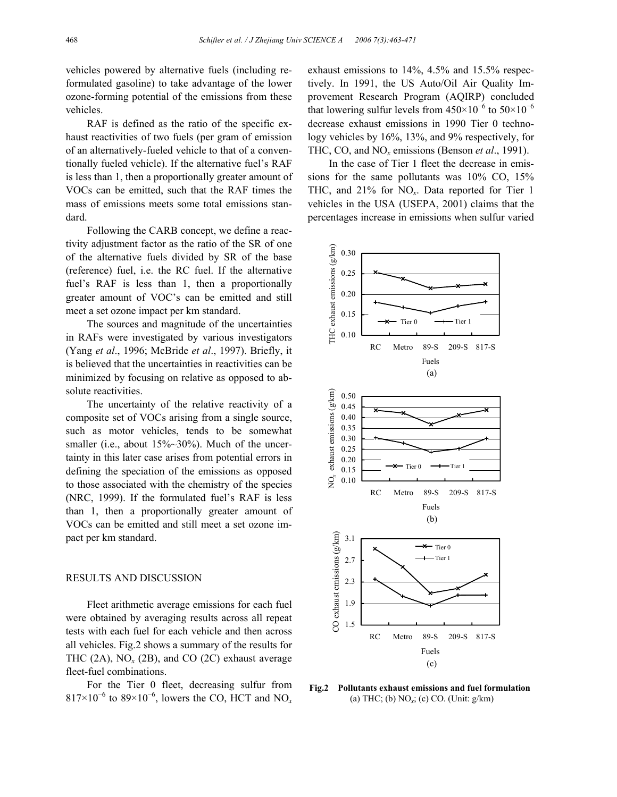vehicles powered by alternative fuels (including reformulated gasoline) to take advantage of the lower ozone-forming potential of the emissions from these vehicles.

RAF is defined as the ratio of the specific exhaust reactivities of two fuels (per gram of emission of an alternatively-fueled vehicle to that of a conventionally fueled vehicle). If the alternative fuel's RAF is less than 1, then a proportionally greater amount of VOCs can be emitted, such that the RAF times the mass of emissions meets some total emissions standard.

Following the CARB concept, we define a reactivity adjustment factor as the ratio of the SR of one of the alternative fuels divided by SR of the base (reference) fuel, i.e. the RC fuel. If the alternative fuel's RAF is less than 1, then a proportionally greater amount of VOC's can be emitted and still meet a set ozone impact per km standard.

The sources and magnitude of the uncertainties in RAFs were investigated by various investigators (Yang *et al*., 1996; McBride *et al*., 1997). Briefly, it is believed that the uncertainties in reactivities can be minimized by focusing on relative as opposed to absolute reactivities.

The uncertainty of the relative reactivity of a composite set of VOCs arising from a single source, such as motor vehicles, tends to be somewhat smaller (i.e., about  $15\% \sim 30\%$ ). Much of the uncertainty in this later case arises from potential errors in defining the speciation of the emissions as opposed to those associated with the chemistry of the species (NRC, 1999). If the formulated fuel's RAF is less than 1, then a proportionally greater amount of VOCs can be emitted and still meet a set ozone impact per km standard.

# RESULTS AND DISCUSSION

Fleet arithmetic average emissions for each fuel were obtained by averaging results across all repeat tests with each fuel for each vehicle and then across all vehicles. Fig.2 shows a summary of the results for THC  $(2A)$ , NO<sub>x</sub>  $(2B)$ , and CO  $(2C)$  exhaust average fleet-fuel combinations.

For the Tier 0 fleet, decreasing sulfur from  $817\times10^{-6}$  to  $89\times10^{-6}$ , lowers the CO, HCT and NO<sub>x</sub>

exhaust emissions to 14%, 4.5% and 15.5% respectively. In 1991, the US Auto/Oil Air Quality Improvement Research Program (AQIRP) concluded that lowering sulfur levels from  $450 \times 10^{-6}$  to  $50 \times 10^{-6}$ decrease exhaust emissions in 1990 Tier 0 technology vehicles by 16%, 13%, and 9% respectively, for THC, CO, and NO*x* emissions (Benson *et al*., 1991).

In the case of Tier 1 fleet the decrease in emissions for the same pollutants was 10% CO, 15% THC, and 21% for NO*x*. Data reported for Tier 1 vehicles in the USA (USEPA, 2001) claims that the percentages increase in emissions when sulfur varied



**Fig.2 Pollutants exhaust emissions and fuel formulation**  (a) THC; (b) NO*x*; (c) CO. (Unit: g/km)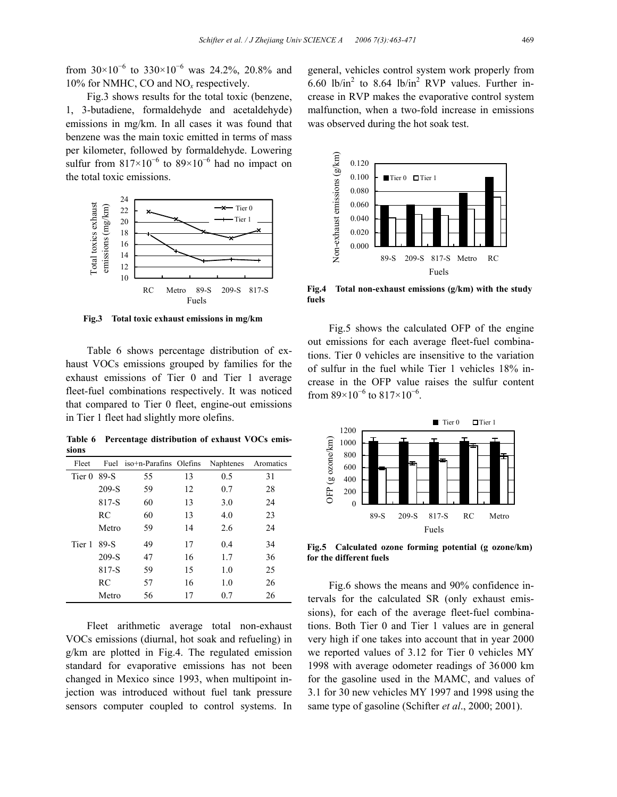from  $30\times10^{-6}$  to  $330\times10^{-6}$  was 24.2%, 20.8% and 10% for NMHC, CO and NO*x* respectively.

Fig.3 shows results for the total toxic (benzene, 1, 3-butadiene, formaldehyde and acetaldehyde) emissions in mg/km. In all cases it was found that benzene was the main toxic emitted in terms of mass per kilometer, followed by formaldehyde. Lowering sulfur from  $817\times10^{-6}$  to  $89\times10^{-6}$  had no impact on the total toxic emissions.



**Fig.3 Total toxic exhaust emissions in mg/km** 

Table 6 shows percentage distribution of exhaust VOCs emissions grouped by families for the exhaust emissions of Tier 0 and Tier 1 average fleet-fuel combinations respectively. It was noticed that compared to Tier 0 fleet, engine-out emissions in Tier 1 fleet had slightly more olefins.

**Table 6 Percentage distribution of exhaust VOCs emissions** 

| Fleet         |           | Fuel iso+n-Parafins Olefins |    | Naphtenes | Aromatics |
|---------------|-----------|-----------------------------|----|-----------|-----------|
| Tier $0$ 89-S |           | 55                          | 13 | 0.5       | 31        |
|               | $209-S$   | 59                          | 12 | 0.7       | 28        |
|               | 817-S     | 60                          | 13 | 3.0       | 24        |
|               | <b>RC</b> | 60                          | 13 | 4.0       | 23        |
|               | Metro     | 59                          | 14 | 2.6       | 24        |
| Tier 1        | 89-S      | 49                          | 17 | 0.4       | 34        |
|               | $209-S$   | 47                          | 16 | 1.7       | 36        |
|               | 817-S     | 59                          | 15 | 1.0       | 25        |
|               | RC        | 57                          | 16 | 1.0       | 26        |
|               | Metro     | 56                          | 17 | 0.7       | 26        |

Fleet arithmetic average total non-exhaust VOCs emissions (diurnal, hot soak and refueling) in g/km are plotted in Fig.4. The regulated emission standard for evaporative emissions has not been changed in Mexico since 1993, when multipoint injection was introduced without fuel tank pressure sensors computer coupled to control systems. In

general, vehicles control system work properly from 6.60 lb/in<sup>2</sup> to 8.64 lb/in<sup>2</sup> RVP values. Further increase in RVP makes the evaporative control system malfunction, when a two-fold increase in emissions was observed during the hot soak test.



**Fig.4 Total non-exhaust emissions (g/km) with the study fuels** 

Fig.5 shows the calculated OFP of the engine out emissions for each average fleet-fuel combinations. Tier 0 vehicles are insensitive to the variation of sulfur in the fuel while Tier 1 vehicles 18% increase in the OFP value raises the sulfur content from  $89 \times 10^{-6}$  to  $817 \times 10^{-6}$ .



**Fig.5 Calculated ozone forming potential (g ozone/km) for the different fuels** 

Fig.6 shows the means and 90% confidence intervals for the calculated SR (only exhaust emissions), for each of the average fleet-fuel combinations. Both Tier 0 and Tier 1 values are in general very high if one takes into account that in year 2000 we reported values of 3.12 for Tier 0 vehicles MY 1998 with average odometer readings of 36000 km for the gasoline used in the MAMC, and values of 3.1 for 30 new vehicles MY 1997 and 1998 using the same type of gasoline (Schifter *et al*., 2000; 2001).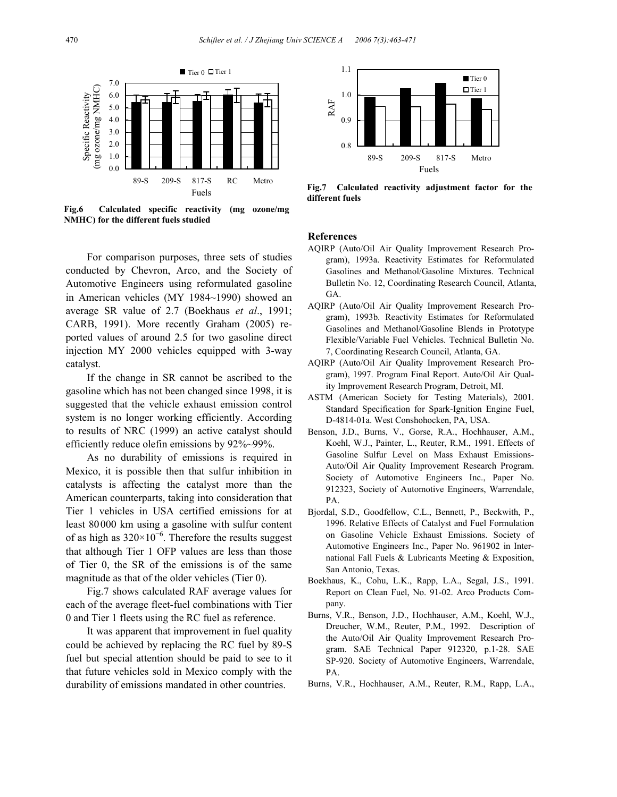

**Fig.6 Calculated specific reactivity (mg ozone/mg NMHC) for the different fuels studied** 

For comparison purposes, three sets of studies conducted by Chevron, Arco, and the Society of Automotive Engineers using reformulated gasoline in American vehicles (MY 1984~1990) showed an average SR value of 2.7 (Boekhaus *et al*., 1991; CARB, 1991). More recently Graham (2005) reported values of around 2.5 for two gasoline direct injection MY 2000 vehicles equipped with 3-way catalyst.

If the change in SR cannot be ascribed to the gasoline which has not been changed since 1998, it is suggested that the vehicle exhaust emission control system is no longer working efficiently. According to results of NRC (1999) an active catalyst should efficiently reduce olefin emissions by 92%~99%.

As no durability of emissions is required in Mexico, it is possible then that sulfur inhibition in catalysts is affecting the catalyst more than the American counterparts, taking into consideration that Tier 1 vehicles in USA certified emissions for at least 80000 km using a gasoline with sulfur content of as high as  $320 \times 10^{-6}$ . Therefore the results suggest that although Tier 1 OFP values are less than those of Tier 0, the SR of the emissions is of the same magnitude as that of the older vehicles (Tier 0).

Fig.7 shows calculated RAF average values for each of the average fleet-fuel combinations with Tier 0 and Tier 1 fleets using the RC fuel as reference.

It was apparent that improvement in fuel quality could be achieved by replacing the RC fuel by 89-S fuel but special attention should be paid to see to it that future vehicles sold in Mexico comply with the durability of emissions mandated in other countries.



**Fig.7 Calculated reactivity adjustment factor for the different fuels** 

# **References**

- AQIRP (Auto/Oil Air Quality Improvement Research Program), 1993a. Reactivity Estimates for Reformulated Gasolines and Methanol/Gasoline Mixtures. Technical Bulletin No. 12, Coordinating Research Council, Atlanta, GA.
- AQIRP (Auto/Oil Air Quality Improvement Research Program), 1993b. Reactivity Estimates for Reformulated Gasolines and Methanol/Gasoline Blends in Prototype Flexible/Variable Fuel Vehicles. Technical Bulletin No. 7, Coordinating Research Council, Atlanta, GA.
- AQIRP (Auto/Oil Air Quality Improvement Research Program), 1997. Program Final Report. Auto/Oil Air Quality Improvement Research Program, Detroit, MI.
- ASTM (American Society for Testing Materials), 2001. Standard Specification for Spark-Ignition Engine Fuel, D-4814-01a. West Conshohocken, PA, USA.
- Benson, J.D., Burns, V., Gorse, R.A., Hochhauser, A.M., Koehl, W.J., Painter, L., Reuter, R.M., 1991. Effects of Gasoline Sulfur Level on Mass Exhaust Emissions-Auto/Oil Air Quality Improvement Research Program. Society of Automotive Engineers Inc., Paper No. 912323, Society of Automotive Engineers, Warrendale, PA.
- Bjordal, S.D., Goodfellow, C.L., Bennett, P., Beckwith, P., 1996. Relative Effects of Catalyst and Fuel Formulation on Gasoline Vehicle Exhaust Emissions. Society of Automotive Engineers Inc., Paper No. 961902 in International Fall Fuels & Lubricants Meeting & Exposition, San Antonio, Texas.
- Boekhaus, K., Cohu, L.K., Rapp, L.A., Segal, J.S., 1991. Report on Clean Fuel, No. 91-02. Arco Products Company.
- Burns, V.R., Benson, J.D., Hochhauser, A.M., Koehl, W.J., Dreucher, W.M., Reuter, P.M., 1992. Description of the Auto/Oil Air Quality Improvement Research Program. SAE Technical Paper 912320, p.1-28. SAE SP-920. Society of Automotive Engineers, Warrendale, PA.
- Burns, V.R., Hochhauser, A.M., Reuter, R.M., Rapp, L.A.,